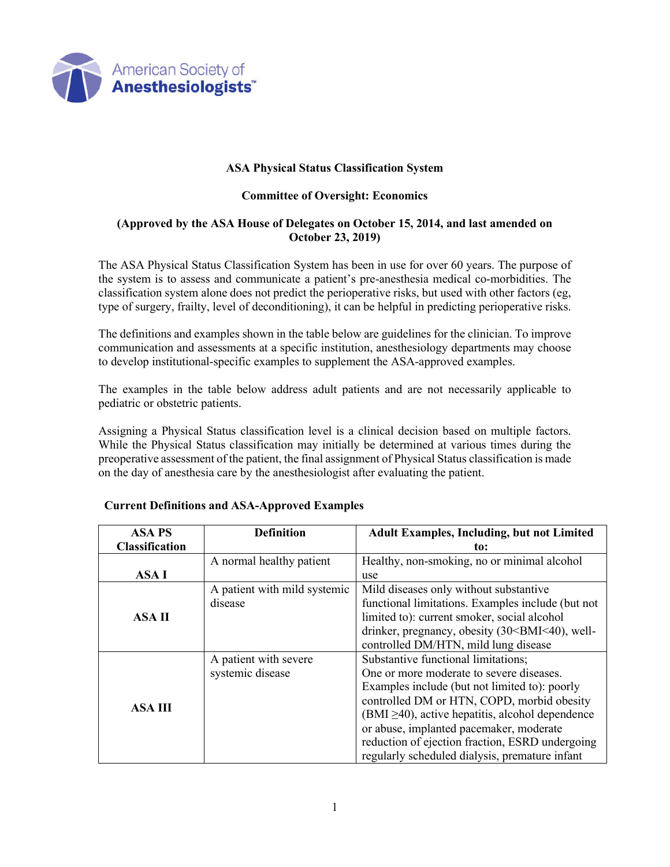

### **ASA Physical Status Classification System**

### **Committee of Oversight: Economics**

### **(Approved by the ASA House of Delegates on October 15, 2014, and last amended on October 23, 2019)**

The ASA Physical Status Classification System has been in use for over 60 years. The purpose of the system is to assess and communicate a patient's pre-anesthesia medical co-morbidities. The classification system alone does not predict the perioperative risks, but used with other factors (eg, type of surgery, frailty, level of deconditioning), it can be helpful in predicting perioperative risks.

The definitions and examples shown in the table below are guidelines for the clinician. To improve communication and assessments at a specific institution, anesthesiology departments may choose to develop institutional-specific examples to supplement the ASA-approved examples.

The examples in the table below address adult patients and are not necessarily applicable to pediatric or obstetric patients.

Assigning a Physical Status classification level is a clinical decision based on multiple factors. While the Physical Status classification may initially be determined at various times during the preoperative assessment of the patient, the final assignment of Physical Status classification is made on the day of anesthesia care by the anesthesiologist after evaluating the patient.

| <b>ASA PS</b>         | <b>Definition</b>            | <b>Adult Examples, Including, but not Limited</b>                     |
|-----------------------|------------------------------|-----------------------------------------------------------------------|
| <b>Classification</b> |                              | to:                                                                   |
|                       | A normal healthy patient     | Healthy, non-smoking, no or minimal alcohol                           |
| ASA I                 |                              | use                                                                   |
|                       | A patient with mild systemic | Mild diseases only without substantive                                |
| <b>ASA II</b>         | disease                      | functional limitations. Examples include (but not                     |
|                       |                              | limited to): current smoker, social alcohol                           |
|                       |                              | drinker, pregnancy, obesity (30 <bmi<40), td="" well-<=""></bmi<40),> |
|                       |                              | controlled DM/HTN, mild lung disease                                  |
| <b>ASA III</b>        | A patient with severe        | Substantive functional limitations;                                   |
|                       | systemic disease             | One or more moderate to severe diseases.                              |
|                       |                              | Examples include (but not limited to): poorly                         |
|                       |                              | controlled DM or HTN, COPD, morbid obesity                            |
|                       |                              | $(BMI \ge 40)$ , active hepatitis, alcohol dependence                 |
|                       |                              | or abuse, implanted pacemaker, moderate                               |
|                       |                              | reduction of ejection fraction, ESRD undergoing                       |
|                       |                              | regularly scheduled dialysis, premature infant                        |

# **Current Definitions and ASA-Approved Examples**